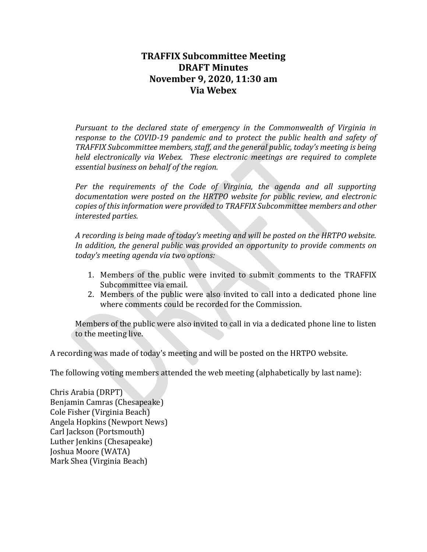# **TRAFFIX Subcommittee Meeting DRAFT Minutes November 9, 2020, 11:30 am Via Webex**

*Pursuant to the declared state of emergency in the Commonwealth of Virginia in response to the COVID-19 pandemic and to protect the public health and safety of TRAFFIX Subcommittee members, staff, and the general public, today's meeting is being held electronically via Webex. These electronic meetings are required to complete essential business on behalf of the region.*

*Per the requirements of the Code of Virginia, the agenda and all supporting documentation were posted on the HRTPO website for public review, and electronic copies of this information were provided to TRAFFIX Subcommittee members and other interested parties.*

*A recording is being made of today's meeting and will be posted on the HRTPO website. In addition, the general public was provided an opportunity to provide comments on today's meeting agenda via two options:*

- 1. Members of the public were invited to submit comments to the TRAFFIX Subcommittee via email.
- 2. Members of the public were also invited to call into a dedicated phone line where comments could be recorded for the Commission.

Members of the public were also invited to call in via a dedicated phone line to listen to the meeting live.

A recording was made of today's meeting and will be posted on the HRTPO website.

The following voting members attended the web meeting (alphabetically by last name):

Chris Arabia (DRPT) Benjamin Camras (Chesapeake) Cole Fisher (Virginia Beach) Angela Hopkins (Newport News) Carl Jackson (Portsmouth) Luther Jenkins (Chesapeake) Joshua Moore (WATA) Mark Shea (Virginia Beach)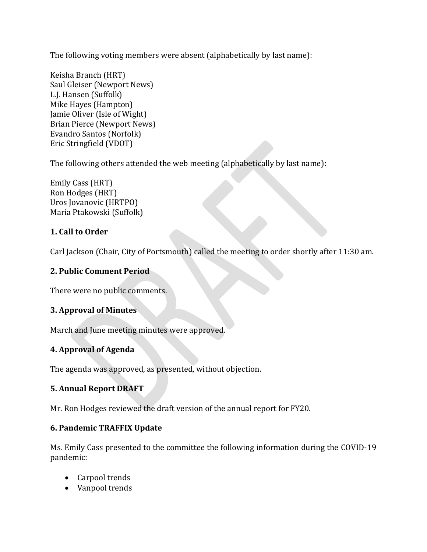The following voting members were absent (alphabetically by last name):

Keisha Branch (HRT) Saul Gleiser (Newport News) L.J. Hansen (Suffolk) Mike Hayes (Hampton) Jamie Oliver (Isle of Wight) Brian Pierce (Newport News) Evandro Santos (Norfolk) Eric Stringfield (VDOT)

The following others attended the web meeting (alphabetically by last name):

Emily Cass (HRT) Ron Hodges (HRT) Uros Jovanovic (HRTPO) Maria Ptakowski (Suffolk)

# **1. Call to Order**

Carl Jackson (Chair, City of Portsmouth) called the meeting to order shortly after 11:30 am.

### **2. Public Comment Period**

There were no public comments.

### **3. Approval of Minutes**

March and June meeting minutes were approved.

# **4. Approval of Agenda**

The agenda was approved, as presented, without objection.

# **5. Annual Report DRAFT**

Mr. Ron Hodges reviewed the draft version of the annual report for FY20.

### **6. Pandemic TRAFFIX Update**

Ms. Emily Cass presented to the committee the following information during the COVID-19 pandemic:

- Carpool trends
- Vanpool trends